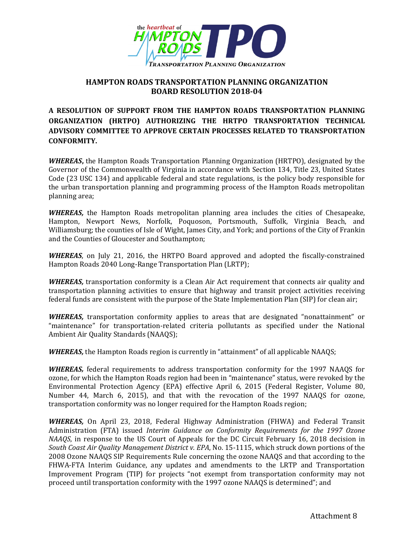

## **HAMPTON ROADS TRANSPORTATION PLANNING ORGANIZATION BOARD RESOLUTION 2018‐04**

**A RESOLUTION OF SUPPORT FROM THE HAMPTON ROADS TRANSPORTATION PLANNING ORGANIZATION (HRTPO) AUTHORIZING THE HRTPO TRANSPORTATION TECHNICAL ADVISORY COMMITTEE TO APPROVE CERTAIN PROCESSES RELATED TO TRANSPORTATION CONFORMITY.**

**WHEREAS**, the Hampton Roads Transportation Planning Organization (HRTPO), designated by the Governor of the Commonwealth of Virginia in accordance with Section 134, Title 23, United States Code (23 USC 134) and applicable federal and state regulations, is the policy body responsible for the urban transportation planning and programming process of the Hampton Roads metropolitan planning area;

**WHEREAS**, the Hampton Roads metropolitan planning area includes the cities of Chesapeake, Hampton, Newport News, Norfolk, Poquoson, Portsmouth, Suffolk, Virginia Beach, and Williamsburg; the counties of Isle of Wight, James City, and York; and portions of the City of Frankin and the Counties of Gloucester and Southampton;

**WHEREAS**, on July 21, 2016, the HRTPO Board approved and adopted the fiscally-constrained Hampton Roads 2040 Long-Range Transportation Plan (LRTP);

**WHEREAS,** transportation conformity is a Clean Air Act requirement that connects air quality and transportation planning activities to ensure that highway and transit project activities receiving federal funds are consistent with the purpose of the State Implementation Plan (SIP) for clean air;

**WHEREAS,** transportation conformity applies to areas that are designated "nonattainment" or "maintenance" for transportation-related criteria pollutants as specified under the National Ambient Air Quality Standards (NAAQS);

**WHEREAS**, the Hampton Roads region is currently in "attainment" of all applicable NAAQS;

**WHEREAS,** federal requirements to address transportation conformity for the 1997 NAAQS for ozone, for which the Hampton Roads region had been in "maintenance" status, were revoked by the Environmental Protection Agency (EPA) effective April 6, 2015 (Federal Register, Volume 80, Number 44, March 6, 2015), and that with the revocation of the 1997 NAAQS for ozone, transportation conformity was no longer required for the Hampton Roads region;

**WHEREAS,** On April 23, 2018, Federal Highway Administration (FHWA) and Federal Transit Administration (FTA) issued *Interim Guidance on Conformity Requirements for the 1997 Ozone NAAQS*, in response to the US Court of Appeals for the DC Circuit February 16, 2018 decision in *South Coast Air Quality Management District v. EPA*, No. 15‐1115, which struck down portions of the 2008 Ozone NAAQS SIP Requirements Rule concerning the ozone NAAQS and that according to the FHWA-FTA Interim Guidance, any updates and amendments to the LRTP and Transportation Improvement Program (TIP) for projects "not exempt from transportation conformity may not proceed until transportation conformity with the 1997 ozone NAAQS is determined"; and